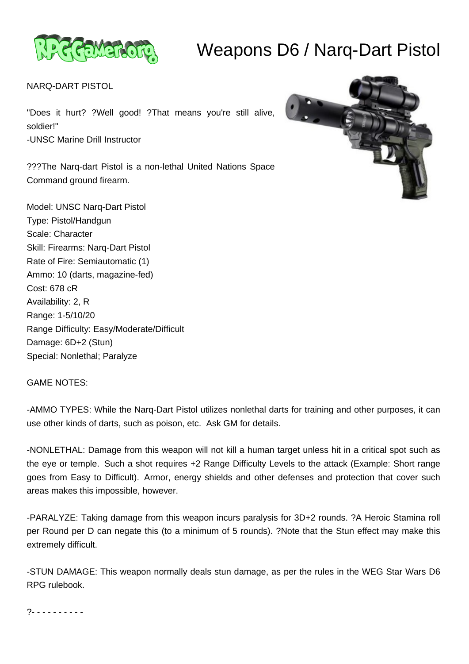

## Weapons D6 / Narq-Dart Pistol

NARQ-DART PISTOL

"Does it hurt? ?Well good! ?That means you're still alive, soldier!" -UNSC Marine Drill Instructor

???The Narq-dart Pistol is a non-lethal United Nations Space Command ground firearm.

Model: UNSC Narq-Dart Pistol Type: Pistol/Handgun Scale: Character Skill: Firearms: Narq-Dart Pistol Rate of Fire: Semiautomatic (1) Ammo: 10 (darts, magazine-fed) Cost: 678 cR Availability: 2, R Range: 1-5/10/20 Range Difficulty: Easy/Moderate/Difficult Damage: 6D+2 (Stun) Special: Nonlethal; Paralyze



## GAME NOTES:

-AMMO TYPES: While the Narq-Dart Pistol utilizes nonlethal darts for training and other purposes, it can use other kinds of darts, such as poison, etc. Ask GM for details.

-NONLETHAL: Damage from this weapon will not kill a human target unless hit in a critical spot such as the eye or temple. Such a shot requires +2 Range Difficulty Levels to the attack (Example: Short range goes from Easy to Difficult). Armor, energy shields and other defenses and protection that cover such areas makes this impossible, however.

-PARALYZE: Taking damage from this weapon incurs paralysis for 3D+2 rounds. ?A Heroic Stamina roll per Round per D can negate this (to a minimum of 5 rounds). ?Note that the Stun effect may make this extremely difficult.

-STUN DAMAGE: This weapon normally deals stun damage, as per the rules in the WEG Star Wars D6 RPG rulebook.

?- - - - - - - - - -